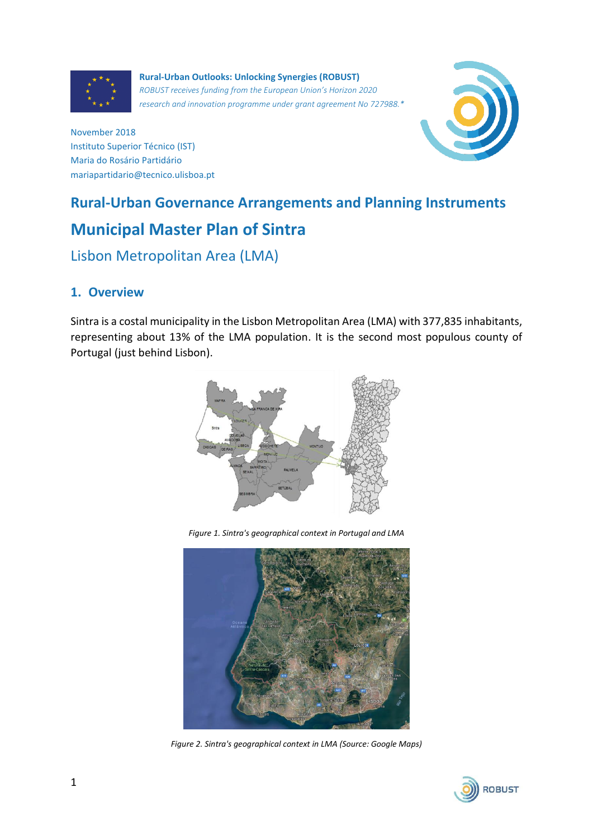

**Rural-Urban Outlooks: Unlocking Synergies (ROBUST)** *ROBUST receives funding from the European Union's Horizon 2020 research and innovation programme under grant agreement No 727988.\**



November 2018 Instituto Superior Técnico (IST) Maria do Rosário Partidário mariapartidario@tecnico.ulisboa.pt

# **Rural-Urban Governance Arrangements and Planning Instruments Municipal Master Plan of Sintra**

## Lisbon Metropolitan Area (LMA)

### **1. Overview**

Sintra is a costal municipality in the Lisbon Metropolitan Area (LMA) with 377,835 inhabitants, representing about 13% of the LMA population. It is the second most populous county of Portugal (just behind Lisbon).



*Figure 1. Sintra's geographical context in Portugal and LMA*



*Figure 2. Sintra's geographical context in LMA (Source: Google Maps)*

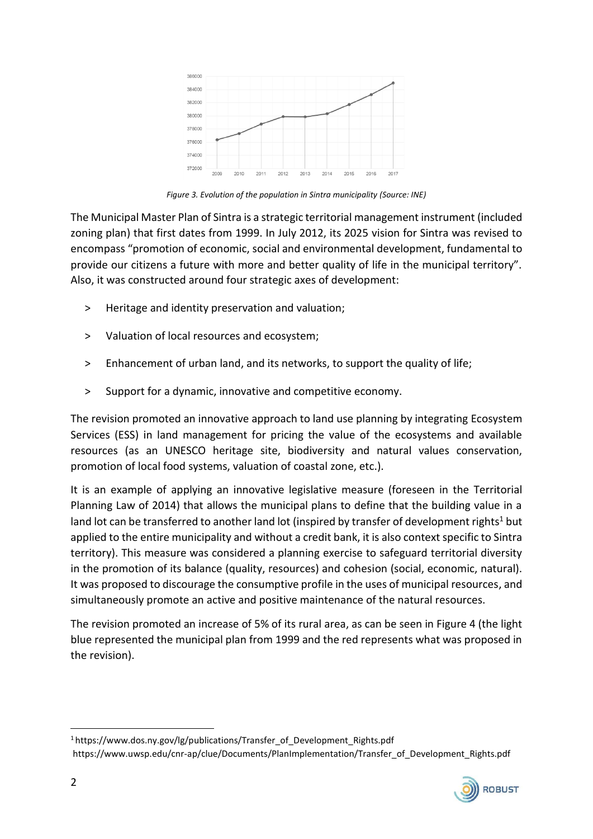

*Figure 3. Evolution of the population in Sintra municipality (Source: INE)*

The Municipal Master Plan of Sintra is a strategic territorial management instrument (included zoning plan) that first dates from 1999. In July 2012, its 2025 vision for Sintra was revised to encompass "promotion of economic, social and environmental development, fundamental to provide our citizens a future with more and better quality of life in the municipal territory". Also, it was constructed around four strategic axes of development:

- > Heritage and identity preservation and valuation;
- ˃ Valuation of local resources and ecosystem;
- ˃ Enhancement of urban land, and its networks, to support the quality of life;
- ˃ Support for a dynamic, innovative and competitive economy.

The revision promoted an innovative approach to land use planning by integrating Ecosystem Services (ESS) in land management for pricing the value of the ecosystems and available resources (as an UNESCO heritage site, biodiversity and natural values conservation, promotion of local food systems, valuation of coastal zone, etc.).

It is an example of applying an innovative legislative measure (foreseen in the Territorial Planning Law of 2014) that allows the municipal plans to define that the building value in a land lot can be transferred to another land lot (inspired by transfer of development rights<sup>1</sup> but applied to the entire municipality and without a credit bank, it is also context specific to Sintra territory). This measure was considered a planning exercise to safeguard territorial diversity in the promotion of its balance (quality, resources) and cohesion (social, economic, natural). It was proposed to discourage the consumptive profile in the uses of municipal resources, and simultaneously promote an active and positive maintenance of the natural resources.

The revision promoted an increase of 5% of its rural area, as can be seen in Figure 4 (the light blue represented the municipal plan from 1999 and the red represents what was proposed in the revision).

<sup>1</sup> https://www.dos.ny.gov/lg/publications/Transfer\_of\_Development\_Rights.pdf https://www.uwsp.edu/cnr-ap/clue/Documents/PlanImplementation/Transfer\_of\_Development\_Rights.pdf



 $\overline{a}$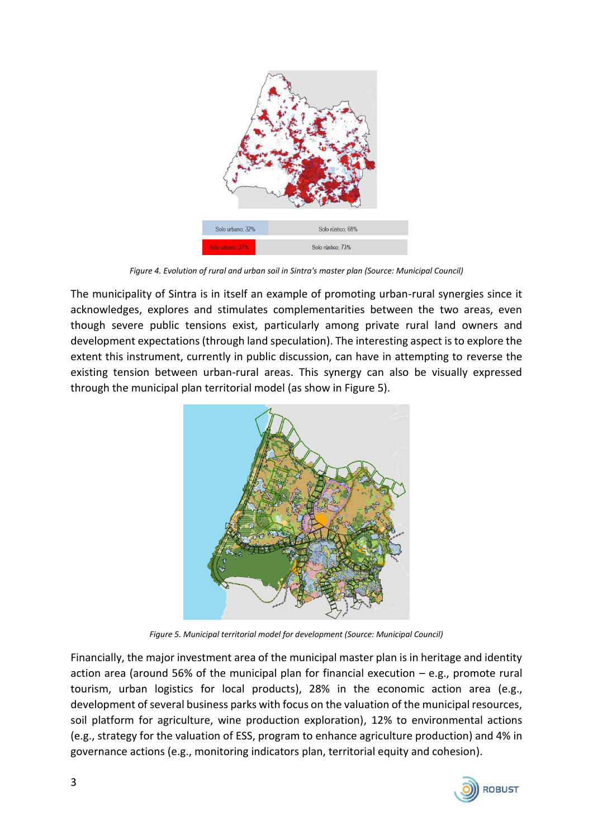

*Figure 4. Evolution of rural and urban soil in Sintra's master plan (Source: Municipal Council)*

The municipality of Sintra is in itself an example of promoting urban-rural synergies since it acknowledges, explores and stimulates complementarities between the two areas, even though severe public tensions exist, particularly among private rural land owners and development expectations (through land speculation). The interesting aspect is to explore the extent this instrument, currently in public discussion, can have in attempting to reverse the existing tension between urban-rural areas. This synergy can also be visually expressed through the municipal plan territorial model (as show in Figure 5).



*Figure 5. Municipal territorial model for development (Source: Municipal Council)*

Financially, the major investment area of the municipal master plan is in heritage and identity action area (around 56% of the municipal plan for financial execution – e.g., promote rural tourism, urban logistics for local products), 28% in the economic action area (e.g., development of several business parks with focus on the valuation of the municipal resources, soil platform for agriculture, wine production exploration), 12% to environmental actions (e.g., strategy for the valuation of ESS, program to enhance agriculture production) and 4% in governance actions (e.g., monitoring indicators plan, territorial equity and cohesion).

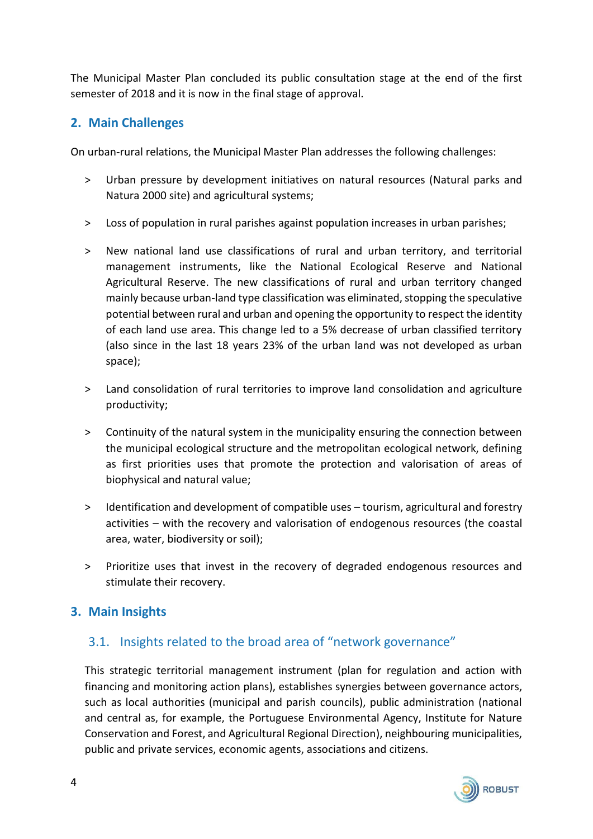The Municipal Master Plan concluded its public consultation stage at the end of the first semester of 2018 and it is now in the final stage of approval.

#### **2. Main Challenges**

On urban-rural relations, the Municipal Master Plan addresses the following challenges:

- ˃ Urban pressure by development initiatives on natural resources (Natural parks and Natura 2000 site) and agricultural systems;
- ˃ Loss of population in rural parishes against population increases in urban parishes;
- ˃ New national land use classifications of rural and urban territory, and territorial management instruments, like the National Ecological Reserve and National Agricultural Reserve. The new classifications of rural and urban territory changed mainly because urban-land type classification was eliminated, stopping the speculative potential between rural and urban and opening the opportunity to respect the identity of each land use area. This change led to a 5% decrease of urban classified territory (also since in the last 18 years 23% of the urban land was not developed as urban space);
- ˃ Land consolidation of rural territories to improve land consolidation and agriculture productivity;
- ˃ Continuity of the natural system in the municipality ensuring the connection between the municipal ecological structure and the metropolitan ecological network, defining as first priorities uses that promote the protection and valorisation of areas of biophysical and natural value;
- ˃ Identification and development of compatible uses tourism, agricultural and forestry activities – with the recovery and valorisation of endogenous resources (the coastal area, water, biodiversity or soil);
- > Prioritize uses that invest in the recovery of degraded endogenous resources and stimulate their recovery.

#### **3. Main Insights**

#### 3.1. Insights related to the broad area of "network governance"

This strategic territorial management instrument (plan for regulation and action with financing and monitoring action plans), establishes synergies between governance actors, such as local authorities (municipal and parish councils), public administration (national and central as, for example, the Portuguese Environmental Agency, Institute for Nature Conservation and Forest, and Agricultural Regional Direction), neighbouring municipalities, public and private services, economic agents, associations and citizens.

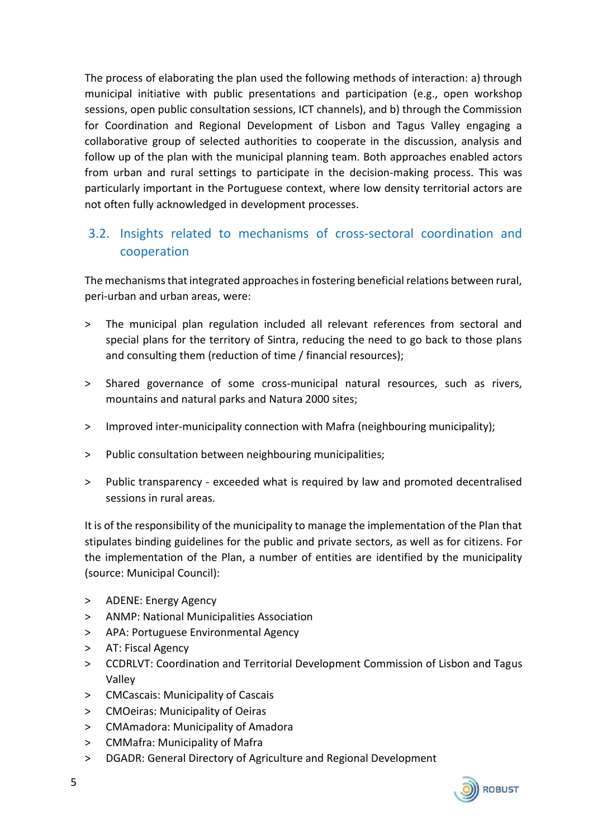The process of elaborating the plan used the following methods of interaction: a) through municipal initiative with public presentations and participation (e.g., open workshop sessions, open public consultation sessions, ICT channels), and b) through the Commission for Coordination and Regional Development of Lisbon and Tagus Valley engaging a collaborative group of selected authorities to cooperate in the discussion, analysis and follow up of the plan with the municipal planning team. Both approaches enabled actors from urban and rural settings to participate in the decision-making process. This was particularly important in the Portuguese context, where low density territorial actors are not often fully acknowledged in development processes.

## 3.2. Insights related to mechanisms of cross-sectoral coordination and cooperation

The mechanisms that integrated approaches in fostering beneficial relations between rural, peri-urban and urban areas, were:

- ˃ The municipal plan regulation included all relevant references from sectoral and special plans for the territory of Sintra, reducing the need to go back to those plans and consulting them (reduction of time / financial resources);
- ˃ Shared governance of some cross-municipal natural resources, such as rivers, mountains and natural parks and Natura 2000 sites;
- > Improved inter-municipality connection with Mafra (neighbouring municipality);
- > Public consultation between neighbouring municipalities;
- ˃ Public transparency exceeded what is required by law and promoted decentralised sessions in rural areas.

It is of the responsibility of the municipality to manage the implementation of the Plan that stipulates binding guidelines for the public and private sectors, as well as for citizens. For the implementation of the Plan, a number of entities are identified by the municipality (source: Municipal Council):

- > ADENE: Energy Agency
- ˃ ANMP: National Municipalities Association
- ˃ APA: Portuguese Environmental Agency
- > AT: Fiscal Agency
- ˃ CCDRLVT: Coordination and Territorial Development Commission of Lisbon and Tagus Valley
- ˃ CMCascais: Municipality of Cascais
- > CMOeiras: Municipality of Oeiras
- ˃ CMAmadora: Municipality of Amadora
- ˃ CMMafra: Municipality of Mafra
- > DGADR: General Directory of Agriculture and Regional Development

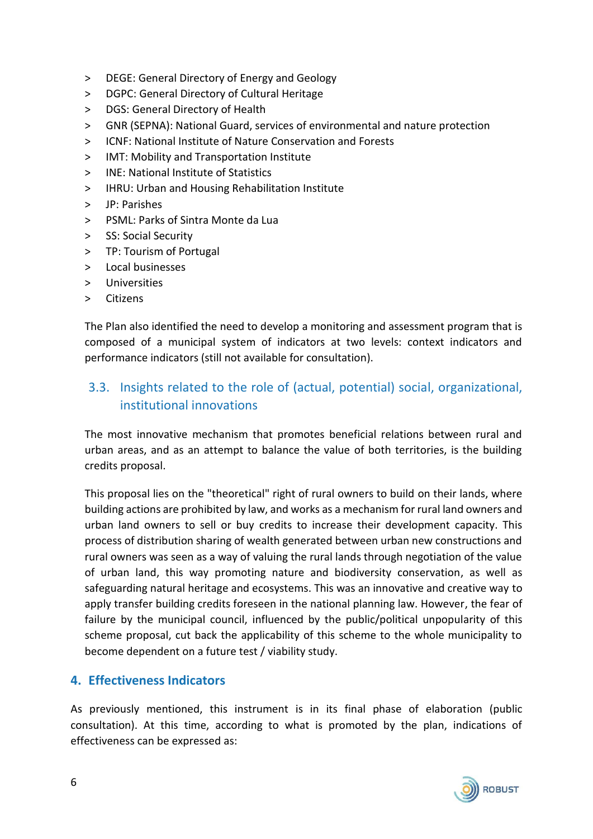- ˃ DEGE: General Directory of Energy and Geology
- > DGPC: General Directory of Cultural Heritage
- > DGS: General Directory of Health
- ˃ GNR (SEPNA): National Guard, services of environmental and nature protection
- ˃ ICNF: National Institute of Nature Conservation and Forests
- ˃ IMT: Mobility and Transportation Institute
- ˃ INE: National Institute of Statistics
- > IHRU: Urban and Housing Rehabilitation Institute
- ˃ JP: Parishes
- ˃ PSML: Parks of Sintra Monte da Lua
- > SS: Social Security
- > TP: Tourism of Portugal
- > Local businesses
- ˃ Universities
- ˃ Citizens

The Plan also identified the need to develop a monitoring and assessment program that is composed of a municipal system of indicators at two levels: context indicators and performance indicators (still not available for consultation).

## 3.3. Insights related to the role of (actual, potential) social, organizational, institutional innovations

The most innovative mechanism that promotes beneficial relations between rural and urban areas, and as an attempt to balance the value of both territories, is the building credits proposal.

This proposal lies on the "theoretical" right of rural owners to build on their lands, where building actions are prohibited by law, and works as a mechanism for rural land owners and urban land owners to sell or buy credits to increase their development capacity. This process of distribution sharing of wealth generated between urban new constructions and rural owners was seen as a way of valuing the rural lands through negotiation of the value of urban land, this way promoting nature and biodiversity conservation, as well as safeguarding natural heritage and ecosystems. This was an innovative and creative way to apply transfer building credits foreseen in the national planning law. However, the fear of failure by the municipal council, influenced by the public/political unpopularity of this scheme proposal, cut back the applicability of this scheme to the whole municipality to become dependent on a future test / viability study.

#### **4. Effectiveness Indicators**

As previously mentioned, this instrument is in its final phase of elaboration (public consultation). At this time, according to what is promoted by the plan, indications of effectiveness can be expressed as: